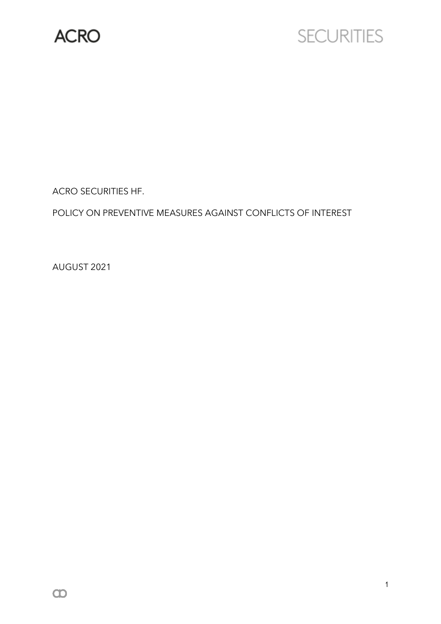

# **SECURITIES**

ACRO SECURITIES HF.

POLICY ON PREVENTIVE MEASURES AGAINST CONFLICTS OF INTEREST

AUGUST 2021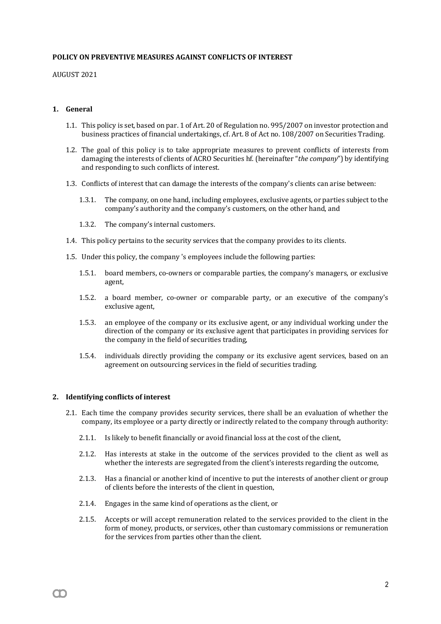#### **POLICY ON PREVENTIVE MEASURES AGAINST CONFLICTS OF INTEREST**

AUGUST 2021

## **1. General**

- 1.1. This policy is set, based on par. 1 of Art. 20 of Regulation no. 995/2007 on investor protection and business practices of financial undertakings, cf. Art. 8 of Act no. 108/2007 on Securities Trading.
- 1.2. The goal of this policy is to take appropriate measures to prevent conflicts of interests from damaging the interests of clients of ACRO Securities hf. (hereinafter "*the company*") by identifying and responding to such conflicts of interest.
- 1.3. Conflicts of interest that can damage the interests of the company's clients can arise between:
	- 1.3.1. The company, on one hand, including employees, exclusive agents, or parties subject to the company's authority and the company's customers, on the other hand, and
	- 1.3.2. The company's internal customers.
- 1.4. This policy pertains to the security services that the company provides to its clients.
- 1.5. Under this policy, the company 's employees include the following parties:
	- 1.5.1. board members, co-owners or comparable parties, the company's managers, or exclusive agent,
	- 1.5.2. a board member, co-owner or comparable party, or an executive of the company's exclusive agent,
	- 1.5.3. an employee of the company or its exclusive agent, or any individual working under the direction of the company or its exclusive agent that participates in providing services for the company in the field of securities trading,
	- 1.5.4. individuals directly providing the company or its exclusive agent services, based on an agreement on outsourcing services in the field of securities trading.

#### **2. Identifying conflicts of interest**

m

- 2.1. Each time the company provides security services, there shall be an evaluation of whether the company, its employee or a party directly or indirectly related to the company through authority:
	- 2.1.1. Is likely to benefit financially or avoid financial loss at the cost of the client,
	- 2.1.2. Has interests at stake in the outcome of the services provided to the client as well as whether the interests are segregated from the client's interests regarding the outcome,
	- 2.1.3. Has a financial or another kind of incentive to put the interests of another client or group of clients before the interests of the client in question,
	- 2.1.4. Engages in the same kind of operations as the client, or
	- 2.1.5. Accepts or will accept remuneration related to the services provided to the client in the form of money, products, or services, other than customary commissions or remuneration for the services from parties other than the client.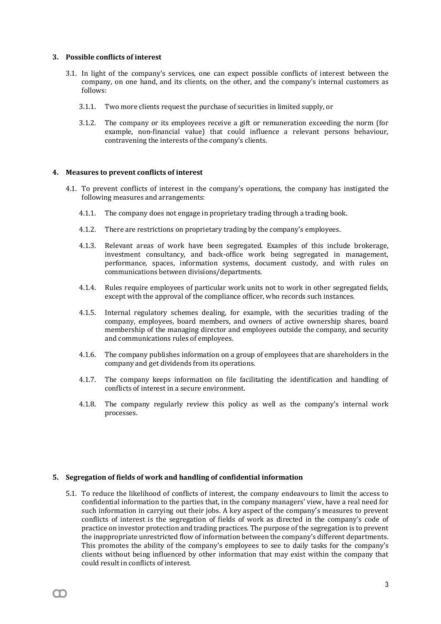#### **3. Possible conflicts of interest**

- 3.1. In light of the company's services, one can expect possible conflicts of interest between the company, on one hand, and its clients, on the other, and the company's internal customers as follows:
	- 3.1.1. Two more clients request the purchase of securities in limited supply, or
	- 3.1.2. The company or its employees receive a gift or remuneration exceeding the norm (for example, non-financial value) that could influence a relevant persons behaviour, contravening the interests of the company's clients.

#### **4. Measures to prevent conflicts of interest**

- 4.1. To prevent conflicts of interest in the company's operations, the company has instigated the following measures and arrangements:
	- 4.1.1. The company does not engage in proprietary trading through a trading book.
	- 4.1.2. There are restrictions on proprietary trading by the company's employees.
	- 4.1.3. Relevant areas of work have been segregated. Examples of this include brokerage, investment consultancy, and back-office work being segregated in management, performance, spaces, information systems, document custody, and with rules on communications between divisions/departments.
	- 4.1.4. Rules require employees of particular work units not to work in other segregated fields, except with the approval of the compliance officer, who records such instances.
	- 4.1.5. Internal regulatory schemes dealing, for example, with the securities trading of the company, employees, board members, and owners of active ownership shares, board membership of the managing director and employees outside the company, and security and communications rules of employees.
	- 4.1.6. The company publishes information on a group of employees that are shareholders in the company and get dividends from its operations.
	- 4.1.7. The company keeps information on file facilitating the identification and handling of conflicts of interest in a secure environment.
	- 4.1.8. The company regularly review this policy as well as the company's internal work processes.

## **5. Segregation of fields of work and handling of confidential information**

m

5.1. To reduce the likelihood of conflicts of interest, the company endeavours to limit the access to confidential information to the parties that, in the company managers' view, have a real need for such information in carrying out their jobs. A key aspect of the company's measures to prevent conflicts of interest is the segregation of fields of work as directed in the company's code of practice on investor protection and trading practices. The purpose of the segregation is to prevent the inappropriate unrestricted flow of information between the company's different departments. This promotes the ability of the company's employees to see to daily tasks for the company's clients without being influenced by other information that may exist within the company that could result in conflicts of interest.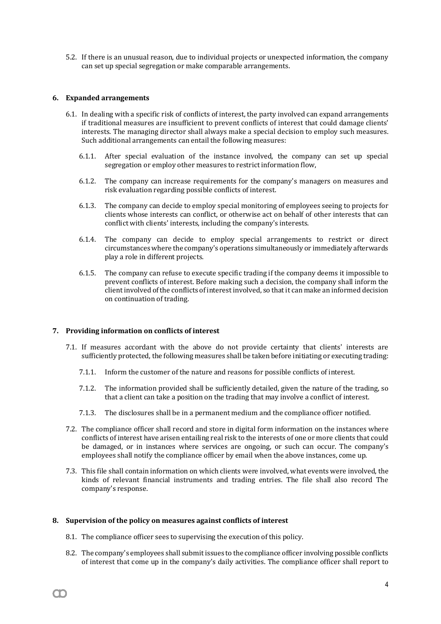5.2. If there is an unusual reason, due to individual projects or unexpected information, the company can set up special segregation or make comparable arrangements.

## **6. Expanded arrangements**

- 6.1. In dealing with a specific risk of conflicts of interest, the party involved can expand arrangements if traditional measures are insufficient to prevent conflicts of interest that could damage clients' interests. The managing director shall always make a special decision to employ such measures. Such additional arrangements can entail the following measures:
	- 6.1.1. After special evaluation of the instance involved, the company can set up special segregation or employ other measures to restrict information flow,
	- 6.1.2. The company can increase requirements for the company's managers on measures and risk evaluation regarding possible conflicts of interest.
	- 6.1.3. The company can decide to employ special monitoring of employees seeing to projects for clients whose interests can conflict, or otherwise act on behalf of other interests that can conflict with clients' interests, including the company's interests.
	- 6.1.4. The company can decide to employ special arrangements to restrict or direct circumstances where the company's operations simultaneously or immediately afterwards play a role in different projects.
	- 6.1.5. The company can refuse to execute specific trading if the company deems it impossible to prevent conflicts of interest. Before making such a decision, the company shall inform the client involved of the conflicts of interest involved, so that it can make an informed decision on continuation of trading.

## **7. Providing information on conflicts of interest**

- 7.1. If measures accordant with the above do not provide certainty that clients' interests are sufficiently protected, the following measures shall be taken before initiating or executing trading:
	- 7.1.1. Inform the customer of the nature and reasons for possible conflicts of interest.
	- 7.1.2. The information provided shall be sufficiently detailed, given the nature of the trading, so that a client can take a position on the trading that may involve a conflict of interest.
	- 7.1.3. The disclosures shall be in a permanent medium and the compliance officer notified.
- 7.2. The compliance officer shall record and store in digital form information on the instances where conflicts of interest have arisen entailing real risk to the interests of one or more clients that could be damaged, or in instances where services are ongoing, or such can occur. The company's employees shall notify the compliance officer by email when the above instances, come up.
- 7.3. This file shall contain information on which clients were involved, what events were involved, the kinds of relevant financial instruments and trading entries. The file shall also record The company's response.

## **8. Supervision of the policy on measures against conflicts of interest**

M

- 8.1. The compliance officer sees to supervising the execution of this policy.
- 8.2. The company's employees shall submitissues to the compliance officer involving possible conflicts of interest that come up in the company's daily activities. The compliance officer shall report to